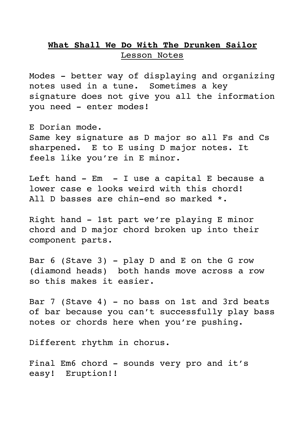## **What Shall We Do With The Drunken Sailor** Lesson Notes

Modes - better way of displaying and organizing notes used in a tune. Sometimes a key signature does not give you all the information you need - enter modes!

E Dorian mode. Same key signature as D major so all Fs and Cs sharpened. E to E using D major notes. It feels like you're in E minor.

Left hand  $-$  Em  $-$  I use a capital E because a lower case e looks weird with this chord! All D basses are chin-end so marked \*.

Right hand - 1st part we're playing E minor chord and D major chord broken up into their component parts.

Bar  $6$  (Stave 3) - play D and E on the G row (diamond heads) both hands move across a row so this makes it easier.

Bar 7 (Stave 4) - no bass on 1st and 3rd beats of bar because you can't successfully play bass notes or chords here when you're pushing.

Different rhythm in chorus.

Final Em6 chord - sounds very pro and it's easy! Eruption!!